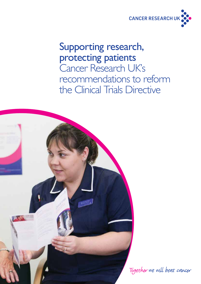

# Supporting research, protecting patients Cancer Research UK's recommendations to reform the Clinical Trials Directive



Together we will beat cancer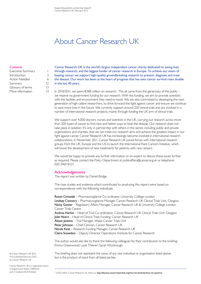## About Cancer Research UK

#### **Contents**

| Executive Summary    |    |
|----------------------|----|
| Introduction         | 3  |
| <b>Action Needed</b> | 6  |
| Summary              | 12 |
| Glossary of terms    | 13 |
| More information     | 13 |

Cancer Research UK is the world's largest independent cancer charity dedicated to saving lives through research, and the biggest funder of cancer research in Europe. To achieve our vision of beating cancer, we support high-quality groundbreaking research to prevent, diagnose and treat the disease. Our work has been at the heart of progress that has seen cancer survival rates double in the last 40 years.

In 2010/2011, we spent €388 million on research.<sup>1</sup> This all came from the generosity of the public – we receive no government funding for our research. With this funding, we aim to provide scientists with the facilities and environment they need to excel. We are also committed to developing the next generation of high calibre researchers, to drive forward the fight against cancer and ensure we continue to save more lives in the future. We currently support around 250 clinical trials and are involved in a number of international research projects, mainly through funding the UK arm of clinical trials.

We support over 4,000 doctors, nurses and scientists in the UK, carrying out research across more than 200 types of cancer to find new and better ways to beat the disease. Our research does not take place in isolation. It's only in partnership with others in the sector, including public and private organisations and charities, that we can meet our research aims and achieve the greatest impact in our fight against cancer. Cancer Research UK has increasingly become involved in international research collaborations. In November 2011, Cancer Research UK joined forces with international research groups from the UK, Europe and the US to launch the International Rare Cancers Initiative, which will boost the development of new treatments for patients with rare cancers.

We would be happy to provide any further information or an expert to discuss these issues further, as required. Please contact the Policy Department at publicaffairs@cancer.org.uk or telephone 020 3469 8127.

#### Acknowledgements

The report was written by Daniel Bridge.

The case studies and evidence which contributed to producing this report were based on correspondence with the following individuals:

Roisin Cinneide – Pharmacovigilance Co-ordinator, University College London Lindsey Connery - Pharmacovigilance Manager, Cancer Research UK Clinical Trials Unit, Glasgow Nicky Gower – Regulatory Affairs Manager, Cancer Research UK & University College London Cancer Trials Centre Andrea Harkin – Head of Trial Co-ordination, Cancer Research UK Clinical Trials Unit, Glasgow Julie Hearn – Head of Clinical Trials Funding, Cancer Research UK Alison Jenkins – Trial Manager, Wales Cancer Trials Unit Peter Johnson - Chief Clinician, Cancer Research UK Nicola Keat – Research Funding Manager, Cancer Research UK Claire Snowdon – Deputy Director Operations, Institute for Cancer Research

The author would also like to thank the following colleagues for their contribution to the briefing: Emma Greenwood; Layla Theiner; Sarah Woolnough.

The briefing does not represent the views of any one individual or organisation listed above, but is the product of input from all listed parties.

© Cancer Research UK 2012 First published February 2012 by Cancer Research UK

Cancer Research UK is a registered charity in England and Wales (1089464)<br>and in Scotland (SC0416666)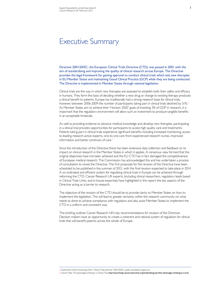Directive 2001/20/EC, the European Clinical Trials Directive (CTD), was passed in 2001 with the aim of standardising and improving the quality of clinical research across Europe. The Directive provides the legal framework for gaining approval to conduct clinical trials which test new therapies in EU Member States and maintaining Good Clinical Practice (GCP) while they are being conducted. The Directive is implemented in Member States through national legislation.

Clinical trials are the way in which new therapies are assessed to establish both their safety and efficacy in humans. They form the basis of deciding whether a new drug or change to existing therapy produces a clinical benefit to patients. Europe has traditionally had a strong research base for clinical trials, however, between 2006-2009 the number of participants taking part in clinical trials declined by 51%.<sup>2</sup> As Member States aim to achieve their 'Horizon 2020' goals of investing 3% of GDP in research, it is important that the regulatory environment will allow such an investment to produce tangible benefits in an acceptable timescale.

As well as providing evidence to advance medical knowledge and develop new therapies, participating in a clinical trial provides opportunities for participants to access high quality care and treatments. Patients taking part in clinical trials experience significant benefits including increased monitoring, access to leading research-active experts, one-to one care from experienced research nurses, improved information and better continuity of care.<sup>3</sup>

Since the introduction of the Directive there has been extensive data collection and feedback on its impact on clinical research in the Member States in which it applies. A consensus view formed that the original objectives have not been achieved and the EU CTD has in fact damaged the competitiveness of European medical research. The Commission has acknowledged this and has undertaken a process of consultation to revise the Directive. The first proposals for the revision of the Directive have been scheduled to be published in the summer of 2012, with the final revision expected to take place in 2014. A co-ordinated and efficient system for regulating clinical trials in Europe can be achieved through reforming the CTD. Cancer Research UK experts (including clinical researchers, regulatory leads based in Clinical Trials Units, and in-house expertise) have highlighted in this report the key aspects of the Directive acting as a barrier to research.

The objective of the revision of the CTD should be to provide clarity to Member States on how to implement the legislation. This will lead to greater certainty within the research community on what needs to done to achieve compliance with regulators and also assist Member States to implement the CTD in a uniform and consistent way.

This briefing outlines Cancer Research UK's key recommendations for revision of the Directive. Decision makers have an opportunity to create a coherent and rational system of regulation for clinical trials that will benefit patients across the whole of Europe.

2 Assessment of the functioning of the "Clinical Trials directive" 2001/20/EC, public consultation paper, p.6

3 Cancer Help, The advantages of being in a Clinical Trial, http://cancerhelp.cancerresearchuk.org/trials/taking-part/the-advantages-of-being-in-a-trial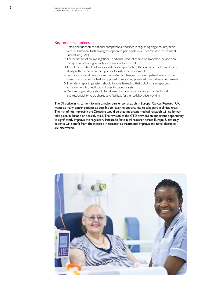#### Key recommendations

- 1 Retain the function of national competent authorities in regulating single country trials with multinational trials having the option to participate in a Co-ordinated Assessment Procedure (CAP)
- 2 The definition of an Investigational Medicinal Product should be limited to include only therapies which are genuinely investigational and novel
- 3 The Directive should allow for a risk-based approach to the assessment of clinical trials, ideally with the onus on the Sponsor to justify the assessment
- 4 Substantial amendments should be limited to changes that affect patient safety or the scientific outcome of a trial, as opposed to reporting purely administrative amendments
- 5 The safety reporting system should be overhauled so that SUSARs are reported in a manner which directly contributes to patient safety
- 6 Multiple organisations should be allowed to sponsor clinical trials in order for risk and responsibility to be shared and facilitate further collaborative working

The Directive in its current form is a major barrier to research in Europe. Cancer Research UK wants as many cancer patients as possible to have the opportunity to take part in clinical trials. The risk of not improving the Directive would be that important medical research will no longer take place in Europe or possibly at all. The revision of the CTD provides an important opportunity to significantly improve the regulatory landscape for clinical research across Europe. Ultimately patients will benefit from the increase in research as treatments improve and novel therapies are discovered.

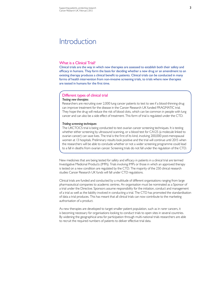### **Introduction**

#### What is a Clinical Trial?

Clinical trials are the way in which new therapies are assessed to establish both their safety and efficacy in humans. They form the basis for deciding whether a new drug or an amendment to an existing therapy produces a clinical benefit to patients. Clinical trials can be conducted in many forms of health intervention from non-invasive screening trials, to trials where new therapies are tested in humans for the first time.

### Different types of clinical trial

#### *Testing new therapies*

Researchers are recruiting over 2,000 lung cancer patients to test to see if a blood-thinning drug can improve treatment for the disease in the Cancer Research UK funded FRAGMATIC trial. They hope the drug will reduce the risk of blood clots, which can be common in people with lung cancer and can also be a side effect of treatment. This form of trial is regulated under the CTD.

#### *Trialing screening techniques*

The UKCTOCS trial is being conducted to test ovarian cancer screening techniques. It is testing whether either screening by ultrasound scanning, or a blood test for CA125 (a molecule linked to ovarian cancer) can save lives. The trial is the first of its kind, involving 200,000 post-menopausal women at 13 hospitals. Preliminary results look positive and the trial will continue until 2015 when the researchers will be able to conclude whether or not a wider screening programme could lead to a fall in deaths from ovarian cancer. Screening trials do not fall under the regulation of the CTD.

New medicines that are being tested for safety and efficacy in patients in a clinical trial are termed Investigative Medicinal Products (IMPs). Trials involving IMPs or those in which an approved therapy is tested on a new condition are regulated by the CTD. The majority of the 250 clinical research studies Cancer Research UK funds will fall under CTD regulations.

Clinical trials are funded and conducted by a multitude of different organisations ranging from large pharmaceutical companies to academic centres. An organisation must be nominated as a Sponsor of a trial under the Directive. Sponsors assume responsibility for the initiation, conduct and management of a trial as well as the liability involved in conducting a trial. The CTD has promoted the standardisation of data a trial produces. This has meant that all clinical trials can now contribute to the marketing authorisation of a product.

As new therapies are developed to target smaller patient population, such as in rarer cancers, it is becoming necessary for organisations looking to conduct trials to open sites in several countries. By widening the geographical area for participation through multi-national trials researchers are able to recruit the required numbers of patients to deliver effective trial data.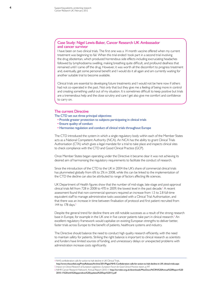#### Case Study: Nigel Lewis-Baker, Cancer Research UK Ambassador and cancer survivor

I have been on two clinical trials. The first one was a 14 month vaccine offered when my current treatment was beginning to fail. When this trial ended I took part in a second trial involving the drug zibotentan, which produced horrendous side effects including excruciating headaches followed by lymphodoema swelling, making breathing quite difficult, and profound deafness that remained until I came off the drug. However, it was worth all the discomfort to progress treatment and, eventually, get some personal benefit and I would do it all again and am currently waiting for another suitable trial to become available.

Clinical trials are essential to developing future treatments and I would not be here now if others had not co-operated in the past. Not only that but they give me a feeling of being more in control and creating something useful out of my situation. It is sometimes difficult to keep positive but trials are a tremendous help and the close scrutiny and care I get also give me comfort and confidence to carry on.

#### The current Directive

The CTD set out three principal objectives:

- Provide greater protection to subjects participating in clinical trials
- Ensure quality of conduct
- Harmonise regulation and conduct of clinical trials throughout Europe

The CTD introduced the system in which a single regulatory body within each of the Member States acts as a National Competent Authority (NCA). An NCA has the ability to grant Clinical Trials Authorisation (CTA) which gives a legal mandate for a trial to take place and inspects clinical sites to check compliance with the CTD and Good Clinical Practice (GCP).

Once Member States began operating under the Directive it became clear it was not achieving its desired aim of harmonising the regulatory requirements to facilitate the conduct of research.

Since the introduction of the CTD to the UK in 2004 the UK's share of commercial clinical trials has plummeted globally from 6% to 2% in 2008, while this can be linked to the implementation of the CTD the decline can also be attributed to range of factors affecting life sciences.

UK Department of Health figures show that the number of mid-stage, late-stage and post-approval clinical trials fell from 728 in 2008 to 470 in 2009, the lowest level in the past decade.<sup>4</sup> A recent assessment found that non-commercial sponsors required an increase from 1.5 to 2.8 full-time equivalent staff to manage administrative tasks associated with a Clinical Trial Authorisation, and that there was an increase in time between finalisation of protocol and first patient recruited from 144 to 178 days.<sup>5</sup>

Despite the general trend for decline there are still notable successes as a result of the strong research base in Europe, for example in the UK one in five cancer patients take part in clinical research.<sup>6</sup> An excellent regulatory framework would capitalise on existing European strengths to deliver better, faster trials across Europe to the benefit of patients, healthcare systems and industry.

The Directive should balance the need to conduct high quality research efficiently, with the need to maintain safety for patients. Striking the right balance is important to clinical research as scientists and funders have limited sources of funding, and unnecessary delays or unexpected problems with administration increase costs significantly.

<sup>4</sup> NHS confederation calls for action to halt decline in UK Clinical Trials,

http://www.nhsconfed.org/PressReleases/Archive/2011/Pages/NHS-Confederation-calls-for-action-to-halt-decline-in-UK-clinical-trials.aspx 5 *Impact on Clinical Research of European Legislation, European Forum for Good Clinical Practice report*, p.197

<sup>6</sup> NIHR Cancer Research Network: Annual Report 2010-11 http://ncrndev.org.uk/downloads/MiscDocs/NCRN%20Annual%20Report%20 2010-11%20with%20appendices%20(updated%20Sept%2011).pdf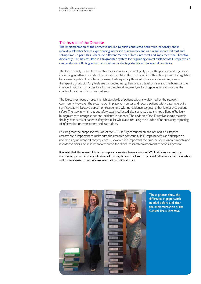#### The revision of the Directive

The implementation of the Directive has led to trials conducted both multi-nationally and in individual Member States experiencing increased bureaucracy and as a result increased cost and set-up time. In part, this is because different Member States interpret and implement the Directive differently. This has resulted in a fragmented system for regulating clinical trials across Europe which can produce conflicting assessments when conducting studies across several countries.

The lack of clarity within the Directive has also resulted in ambiguity for both Sponsors and regulators in deciding whether a trial should or should not fall within its scope. An inflexible approach to regulation has caused significant problems for many trials especially those which are not developing a new therapeutic product. Many trials are conducted using the standard level of care and medicines for their intended indication, in order to advance the clinical knowledge of a drug's effects and improve the quality of treatment for cancer patients.

The Directive's focus on creating high standards of patient safety is welcomed by the research community. However, the systems put in place to monitor and record patient safety data have put a significant administrative burden on researchers with no evidence suggesting that it improves patient safety. The way in which patient safety data is collected also suggests that it is not utilised effectively by regulators to recognise serious incidents in patients. The revision of the Directive should maintain the high standards of patient safety that exist while also reducing the burden of unnecessary reporting of information on researchers and institutions.

Ensuring that the proposed revision of the CTD is fully consulted on and has had a full impact assessment is important to make sure the research community in Europe benefits and changes do not have any unintended consequences. However, it is important the timeline for revision is maintained in order to bring about an improvement to the clinical research environment as soon as possible.

It is vital that the revised Directive supports greater harmonisation. While it is important that there is scope within the application of the legislation to allow for national differences, harmonisation will make it easier to undertake international clinical trials.



These photos show the difference in paperwork needed before and after the implementation of the Clinical Trials Directive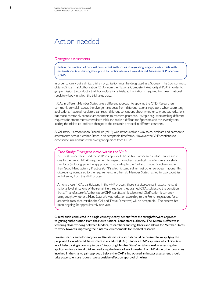### Action needed

#### Divergent assessments

Retain the function of national competent authorities in regulating single country trials with multinational trials having the option to participate in a Co-ordinated Assessment Procedure (CAP)

In order to carry out a clinical trial, an organisation must be designated as a Sponsor. The Sponsor must obtain Clinical Trial Authorisation (CTA) from the National Competent Authority (NCA) in order to get permission to conduct a trial. For multinational trials, authorisation is required from each national regulatory body in which the trial takes place.

NCAs in different Member States take a different approach to applying the CTD. Researchers commonly complain about the divergent requests from different national regulators when submitting applications. National regulators can reach different conclusions about whether to grant authorisations, but more commonly request amendments to research protocols. Multiple regulators making different requests for amendments complicate trials and make it difficult for Sponsors and the investigators leading the trial to co-ordinate changes to the research protocol in different countries.

A Voluntary Harmonisation Procedure (VHP) was introduced as a way to co-ordinate and harmonise assessments across Member States in an acceptable timeframe. However the VHP continues to experience similar issues with divergent opinions from NCAs.

#### Case Study: Divergent views within the VHP

A CR-UK funded trial used the VHP to apply for CTAs in five European countries. Issues arose due to the French NCA's requirement to inspect non-pharmaceutical manufacturers of cellular products (including gene therapy products) according to the Cell and Tissue Directives, rather than Good Manufacturing Practice (GMP) which is standard in most other European nations. This discrepancy compared to the requirements in other EU Member States has led to two countries withdrawing from the VHP process.

Among those NCAs participating in the VHP process, there is a discrepancy in assessments at national level, since one of the remaining three countries granted CTAs subject to the condition that a "Manufacturer's Authorisation/GMP certificate" is submitted. Clarification is currently being sought whether a Manufacturer's Authorisation according to the French regulations for an academic manufacturer (i.e. the Cell and Tissue Directives) will be acceptable. The process has been ongoing for approximately one year.

Clinical trials conducted in a single country clearly benefit from the straightforward approach to gaining authorisation from their own national competent authority. The system is effective in fostering close working between funders, researchers and regulators and allows for Member States to work towards improving their internal environments for medical research.

Greater clarity and efficiency for multi-national clinical trials could be derived from applying the proposed Co-ordinated Assessments Procedure (CAP). Under a CAP a sponsor of a clinical trial would elect a single country to be a "Reporting Member State" to take a lead in assessing the application for a clinical trial and reducing the levels of work needed from NCAs in other countries involved in the trial to gain approval. Before the CAP is introduced an impact assessment should take place to ensure it does have a positive effect on approval timelines.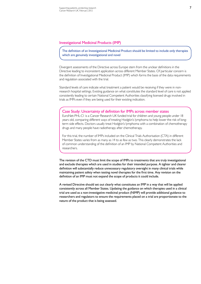#### Investigational Medicinal Products (IMP)

The definition of an Investigational Medicinal Product should be limited to include only therapies which are genuinely investigational and novel

Divergent assessments of the Directive across Europe stem from the unclear definitions in the Directive leading to inconsistent application across different Member States. Of particular concern is the definition of Investigational Medicinal Product (IMP) which forms the basis of the data requirements and regulation associated with the trial.

Standard levels of care indicate what treatment a patient would be receiving if they were in nonresearch hospital settings. Existing guidance on what constitutes the standard level of care is not applied consistently leading to certain National Competent Authorities classifying licensed drugs involved in trials as IMPs even if they are being used for their existing indication.

#### Case Study: Uncertainty of definition for IMPs across member states

EuroNet-PHL-C1 is a Cancer Research UK funded trial for children and young people under 18 years old, comparing different ways of treating Hodgkin's lymphoma to help lower the risk of longterm side effects. Doctors usually treat Hodgkin's lymphoma with a combination of chemotherapy drugs and many people have radiotherapy after chemotherapy.

For this trial, the number of IMPs included on the Clinical Trials Authorisation (CTA) in different Member States varies from as many as 14 to as few as two. This clearly demonstrates the lack of common understanding of the definition of an IMP by National Competent Authorities and researchers.

The revision of the CTD must limit the scope of IMPs to treatments that are truly investigational and exclude therapies which are used in studies for their intended purpose. A tighter and clearer definition will substantially reduce unnecessary regulatory oversight in many clinical trials while maintaining patient safety when testing novel therapies for the first time. Any revision on the definition of an IMP must not expand the scope of products it could include.

A revised Directive should set out clearly what constitutes an IMP in a way that will be applied consistently across all Member States. Updating the guidance on which therapies used in a clinical trial are used as a non-investigative medicinal product (NIMP) will provide additional guidance to researchers and regulators to ensure the requirements placed on a trial are proportionate to the nature of the product that is being assessed.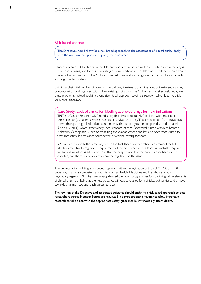#### Risk-based approach

The Directive should allow for a risk-based approach to the assessment of clinical trials, ideally with the onus on the Sponsor to justify the assessment

Cancer Research UK funds a range of different types of trials including those in which a new therapy is first tried in humans, and to those evaluating existing medicines. The difference in risk between different trials is not acknowledged in the CTD and has led to regulators being over cautious in their approach to allowing trials to go ahead.

Within a substantial number of non-commercial drug treatment trials, the control treatment is a drug or combination of drugs used within their existing indication. The CTD does not effectively recognise these problems, instead applying a 'one size fits all' approach to clinical research which leads to trials being over-regulated.

#### Case Study: Lack of clarity for labelling approved drugs for new indications

TNT is a Cancer Research UK funded study that aims to recruit 400 patients with metastatic breast cancer (i.e. patients whose chances of survival are poor). The aim is to see if an intravenous chemotherapy drug called carboplatin can delay disease progression compared with docetaxel (also an i.v. drug), which is the widely used standard of care. Docetaxel is used within its licensed indication. Carboplatin is used to treat lung and ovarian cancer, and has also been widely used to treat metastatic breast cancer outside the clinical trial setting for years.

When used in exactly the same way within the trial, there is a theoretical requirement for full labelling according to regulatory requirements. However, whether this labelling is actually required for an i.v. drug which is administered within the hospital and that the patient never handles is still disputed, and there is lack of clarity from the regulator on this issue.

The process of formulating a risk-based approach within the legislation of the EU CTD is currently underway. National competent authorities such as the UK Medicines and Healthcare products Regulatory Agency (MHRA) have already devised their own programmes for stratifying risk in elements of clinical trials. It is likely that the new guidance will lead to change for individual authorities and a move towards a harmonised approach across Europe.

The revision of the Directive and associated guidance should enshrine a risk based approach so that researchers across Member States are regulated in a proportionate manner to allow important research to take place with the appropriate safety guidelines but without significant delays.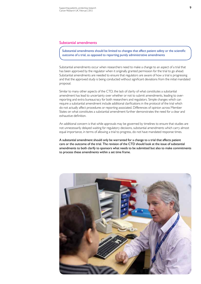#### Substantial amendments

Substantial amendments should be limited to changes that affect patient safety or the scientific outcome of a trial, as opposed to reporting purely administrative amendments

Substantial amendments occur when researchers need to make a change to an aspect of a trial that has been approved by the regulator when it originally granted permission for the trial to go ahead. Substantial amendments are needed to ensure that regulators are aware of how a trial is progressing and that the approved study is being conducted without significant deviations from the initial mandated proposal.

Similar to many other aspects of the CTD, the lack of clarity of what constitutes a substantial amendment has lead to uncertainty over whether or not to submit amendments, leading to overreporting and extra bureaucracy for both researchers and regulators. Simple changes which can require a substantial amendment include additional clarifications in the protocol of the trial which do not actually affect procedures or reporting associated. Differences of opinion across Member States on what constitutes a substantial amendment further demonstrates the need for a clear and exhaustive definition.

An additional concern is that while approvals may be governed by timelines to ensure that studies are not unnecessarily delayed waiting for regulatory decisions, substantial amendments which carry almost equal importance, in terms of allowing a trial to progress, do not have mandated response times.

A substantial amendment should only be warranted for a change to a trial that affects patient care or the outcome of the trial. The revision of the CTD should look at the issue of substantial amendments to both clarify to sponsors what needs to be submitted but also to make commitments to process these amendments within a set time frame.

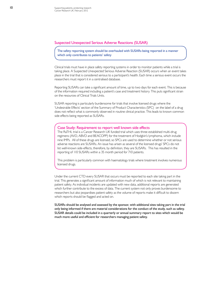#### Suspected Unexpected Serious Adverse Reactions (SUSAR)

The safety reporting system should be overhauled with SUSARs being reported in a manner which only contributes to patients' safety

Clinical trials must have in place safety reporting systems in order to monitor patients while a trial is taking place. A Suspected Unexpected Serious Adverse Reaction (SUSAR) occurs when an event takes place in the trial that is considered serious to a participant's health. Each time a serious event occurs the researchers must report it in a centralised database.

Reporting SUSARs can take a significant amount of time, up to two days for each event. This is because of the information required including a patient's case and treatment history. This puts significant strain on the resources of Clinical Trials Units.

SUSAR reporting is particularly burdensome for trials that involve licensed drugs where the 'Undesirable Effects' section of the Summary of Product Characteristics (SPC) on the label of a drug does not reflect what is commonly observed in routine clinical practice. This leads to known common side effects being reported as SUSARs.

#### Case Study: Requirement to report well known side effects

The RaTHL trial is a Cancer Research UK funded trial which uses three established multi-drug regimens (AVD, ABVD and BEACOPP) for the treatment of Hodgkin's lymphoma, which include nine IMPs. All of these drugs are licensed, so SPCs are used to determine whether or not serious adverse reactions are SUSARs. An issue has arisen as several of the licensed drugs' SPCs do not list well-known side-effects, therefore, by definition, they are SUSARs. This has resulted in the reporting of 110 SUSARs within a 35 month period for 710 patients.

This problem is particularly common with haematology trials where treatment involves numerous licensed drugs.

Under the current CTD every SUSAR that occurs must be reported to each site taking part in the trial. This generates a significant amount of information much of which is not relevant to maintaining patient safety. As individual incidents are updated with new data, additional reports are generated which further contribute to the excess of data. The current system not only proves burdensome to researchers but also jeopardises patient safety as the volume of reports make it difficult to discern which reports should be flagged and acted on.

SUSARs should be analysed and assessed by the sponsor, with additional sites taking part in the trial only being informed if there are material considerations for the conduct of the study, such as safety. SUSAR details could be included in a quarterly or annual summary report to sites which would be much more useful and efficient for researchers managing patient safety.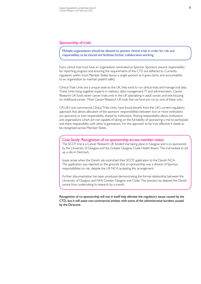#### Sponsorship of trials

Multiple organisations should be allowed to sponsor clinical trials in order for risk and responsibility to be shared and facilitate further collaborative working

Every clinical trial must have an organisation nominated as Sponsor. Sponsors assume responsibility for reporting progress and ensuring the requirements of the CTD are adhered to. Currently regulators within most Member States favour a single sponsor as it gives clarity and accountability to an organisation to maintain patient safety.

Clinical Trials Units are a unique asset to the UK, they exist to run clinical trials and manage trial data. These Units bring together experts in statistics, data management, IT and administration. Cancer Research UK funds seven cancer trials units in the UK specialising in adult cancer, and one focusing on childhood cancer. Most Cancer Research UK trials that we fund are run by one of these units.

CR-UK's non-commercial Clinical Trials Units, have found benefit from the UK's current regulatory approach that allows allocation of the sponsors' responsibilities between two or more institutions (co-sponsors) or joint responsibility shared by institutions. Sharing responsibility allows institutions and organisations which are not capable of taking on the full liability of sponsoring a trial to participate and share responsibility with other organisations. For this approach to be truly effective it needs to be recognised across Member States.

#### Case Study: Recognition of co-sponsorship across member states

The SCOT trial is a Cancer Research UK funded trial taking place in Glasgow and is co-sponsored by the University of Glasgow and the Greater Glasgow Clyde Health Board. The trial looked to set up a site in Denmark.

Issues arose when the Danish site submitted their SCOT application to the Danish NCA. The application was rejected on the grounds that co-sponsorship was a division of Sponsor responsibilities on risk, despite the UK NCA accepting this arrangement.

Further documentation has been produced demonstrating the formal relationship between the University of Glasgow and NHS Greater Glasgow and Clyde. This process has delayed the Danish centre from undertaking its research by a month.

Recognition of co-sponsorship will not in itself help alleviate the regulatory issues caused by the CTD, but it will assist non-commercial entities with some of the administrative burdens caused by the Directive.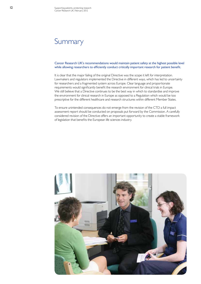### **Summary**

Cancer Research UK's recommendations would maintain patient safety at the highest possible level while allowing researchers to efficiently conduct critically important research for patient benefit.

It is clear that the major failing of the original Directive was the scope it left for interpretation. Lawmakers and regulators implemented the Directive in different ways, which has led to uncertainty for researchers and a fragmented system across Europe. Clear language and proportionate requirements would significantly benefit the research environment for clinical trials in Europe. We still believe that a Directive continues to be the best way in which to standardise and improve the environment for clinical research in Europe as opposed to a Regulation which would be too prescriptive for the different healthcare and research structures within different Member States.

To ensure unintended consequences do not emerge from the revision of the CTD a full impact assessment report should be conducted on proposals put forward by the Commission. A carefully considered revision of the Directive offers an important opportunity to create a stable framework of legislation that benefits the European life sciences industry.

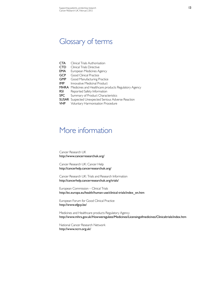### Glossary of terms

| <b>CTA</b> | Clinical Trials Authorisation                              |
|------------|------------------------------------------------------------|
| <b>CTD</b> | Clinical Trials Directive                                  |
| EMA        | European Medicines Agency                                  |
| <b>GCP</b> | Good Clinical Practice                                     |
| <b>GMP</b> | Good Manufacturing Practice                                |
| <b>IMP</b> | Innovative Medicinal Product                               |
|            | MHRA Medicines and Healthcare products Regulatory Agency   |
| rsi        | Reported Safety Information                                |
| <b>SPC</b> | Summary of Product Characteristics                         |
|            | <b>SUSAR</b> Suspected Unexpected Serious Adverse Reaction |
| VHP        | Voluntary Harmonisation Procedure                          |

### More information

Cancer Research UK http://www.cancerresearchuk.org/

Cancer Research UK: Cancer Help http://cancerhelp.cancerresearchuk.org/

Cancer Research UK: Trials and Research Information http://cancerhelp.cancerresearchuk.org/trials/

European Commission – Clinical Trials http://ec.europa.eu/health/human-use/clinical-trials/index\_en.htm

European Forum for Good Clinical Practice http://www.efgcp.be/

Medicines and Healthcare products Regulatory Agency http://www.mhra.gov.uk/Howweregulate/Medicines/Licensingofmedicines/Clinicaltrials/index.htm

National Cancer Research Network http://www.ncrn.org.uk/